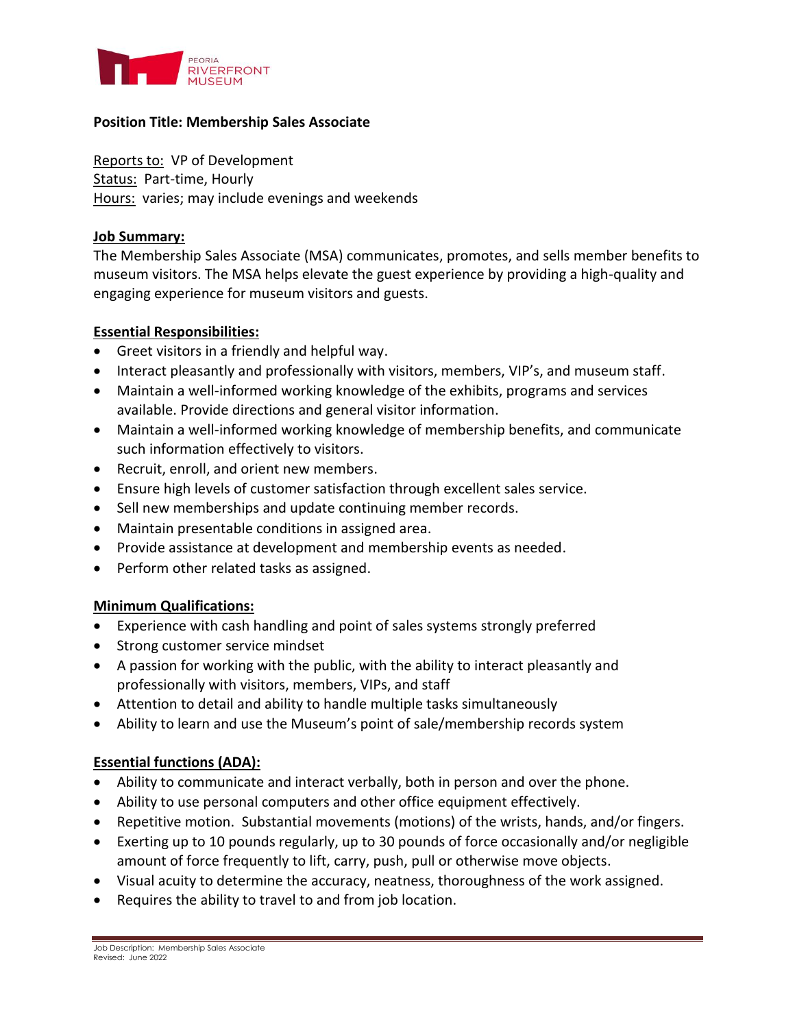

## **Position Title: Membership Sales Associate**

Reports to: VP of Development Status: Part-time, Hourly Hours: varies; may include evenings and weekends

#### **Job Summary:**

The Membership Sales Associate (MSA) communicates, promotes, and sells member benefits to museum visitors. The MSA helps elevate the guest experience by providing a high-quality and engaging experience for museum visitors and guests.

### **Essential Responsibilities:**

- Greet visitors in a friendly and helpful way.
- Interact pleasantly and professionally with visitors, members, VIP's, and museum staff.
- Maintain a well-informed working knowledge of the exhibits, programs and services available. Provide directions and general visitor information.
- Maintain a well-informed working knowledge of membership benefits, and communicate such information effectively to visitors.
- Recruit, enroll, and orient new members.
- Ensure high levels of customer satisfaction through excellent sales service.
- Sell new memberships and update continuing member records.
- Maintain presentable conditions in assigned area.
- Provide assistance at development and membership events as needed.
- Perform other related tasks as assigned.

### **Minimum Qualifications:**

- Experience with cash handling and point of sales systems strongly preferred
- Strong customer service mindset
- A passion for working with the public, with the ability to interact pleasantly and professionally with visitors, members, VIPs, and staff
- Attention to detail and ability to handle multiple tasks simultaneously
- Ability to learn and use the Museum's point of sale/membership records system

# **Essential functions (ADA):**

- Ability to communicate and interact verbally, both in person and over the phone.
- Ability to use personal computers and other office equipment effectively.
- Repetitive motion. Substantial movements (motions) of the wrists, hands, and/or fingers.
- Exerting up to 10 pounds regularly, up to 30 pounds of force occasionally and/or negligible amount of force frequently to lift, carry, push, pull or otherwise move objects.
- Visual acuity to determine the accuracy, neatness, thoroughness of the work assigned.
- Requires the ability to travel to and from job location.